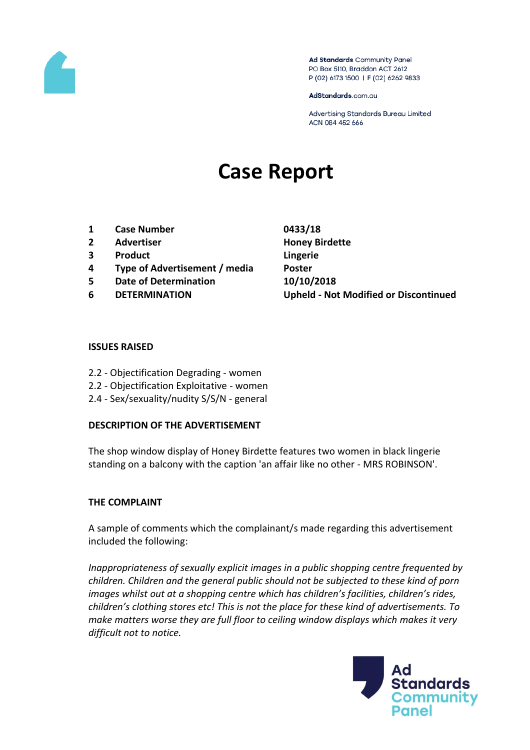

Ad Standards Community Panel PO Box 5110, Braddon ACT 2612 P (02) 6173 1500 | F (02) 6262 9833

AdStandards.com.au

Advertising Standards Bureau Limited ACN 084 452 666

# **Case Report**

- **1 Case Number 0433/18**
- **2 Advertiser Honey Birdette**
- **3 Product Lingerie**
- **4 Type of Advertisement / media Poster**
- **5 Date of Determination 10/10/2018**
- 

**6 DETERMINATION Upheld - Not Modified or Discontinued**

### **ISSUES RAISED**

- 2.2 Objectification Degrading women
- 2.2 Objectification Exploitative women
- 2.4 Sex/sexuality/nudity S/S/N general

### **DESCRIPTION OF THE ADVERTISEMENT**

The shop window display of Honey Birdette features two women in black lingerie standing on a balcony with the caption 'an affair like no other - MRS ROBINSON'.

### **THE COMPLAINT**

A sample of comments which the complainant/s made regarding this advertisement included the following:

*Inappropriateness of sexually explicit images in a public shopping centre frequented by children. Children and the general public should not be subjected to these kind of porn images whilst out at a shopping centre which has children's facilities, children's rides, children's clothing stores etc! This is not the place for these kind of advertisements. To make matters worse they are full floor to ceiling window displays which makes it very difficult not to notice.*

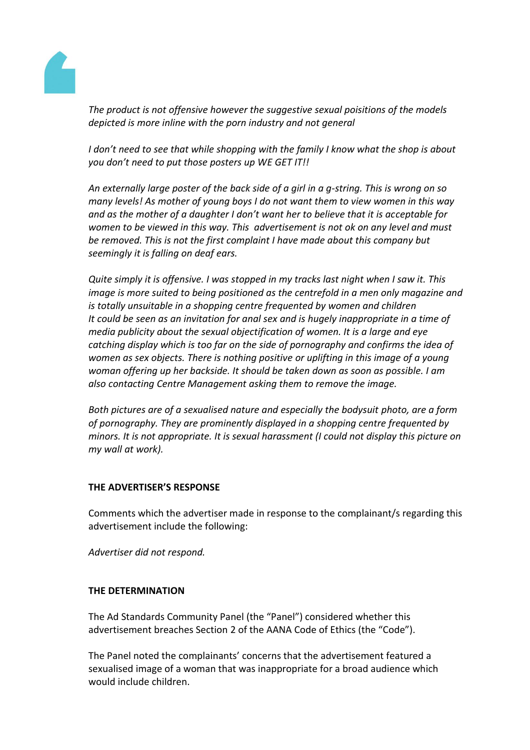

*The product is not offensive however the suggestive sexual poisitions of the models depicted is more inline with the porn industry and not general*

*I don't need to see that while shopping with the family I know what the shop is about you don't need to put those posters up WE GET IT!!*

*An externally large poster of the back side of a girl in a g-string. This is wrong on so many levels! As mother of young boys I do not want them to view women in this way and as the mother of a daughter I don't want her to believe that it is acceptable for women to be viewed in this way. This advertisement is not ok on any level and must be removed. This is not the first complaint I have made about this company but seemingly it is falling on deaf ears.*

*Quite simply it is offensive. I was stopped in my tracks last night when I saw it. This image is more suited to being positioned as the centrefold in a men only magazine and is totally unsuitable in a shopping centre frequented by women and children It could be seen as an invitation for anal sex and is hugely inappropriate in a time of media publicity about the sexual objectification of women. It is a large and eye catching display which is too far on the side of pornography and confirms the idea of women as sex objects. There is nothing positive or uplifting in this image of a young woman offering up her backside. It should be taken down as soon as possible. I am also contacting Centre Management asking them to remove the image.*

*Both pictures are of a sexualised nature and especially the bodysuit photo, are a form of pornography. They are prominently displayed in a shopping centre frequented by minors. It is not appropriate. It is sexual harassment (I could not display this picture on my wall at work).*

### **THE ADVERTISER'S RESPONSE**

Comments which the advertiser made in response to the complainant/s regarding this advertisement include the following:

*Advertiser did not respond.*

### **THE DETERMINATION**

The Ad Standards Community Panel (the "Panel") considered whether this advertisement breaches Section 2 of the AANA Code of Ethics (the "Code").

The Panel noted the complainants' concerns that the advertisement featured a sexualised image of a woman that was inappropriate for a broad audience which would include children.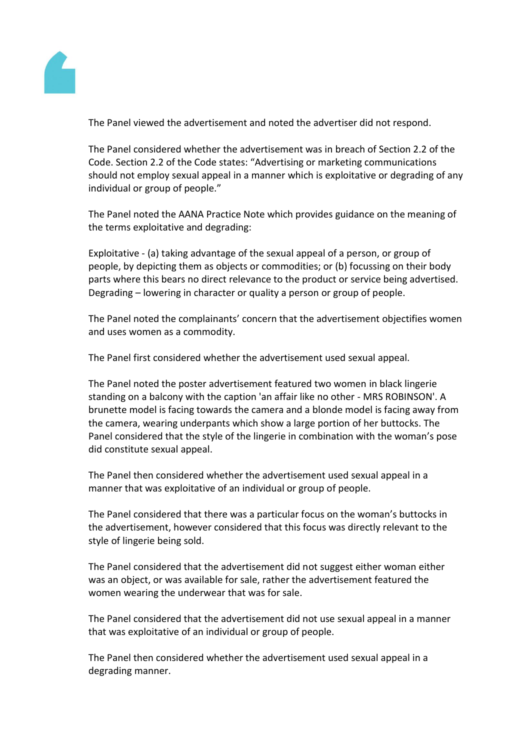

The Panel viewed the advertisement and noted the advertiser did not respond.

The Panel considered whether the advertisement was in breach of Section 2.2 of the Code. Section 2.2 of the Code states: "Advertising or marketing communications should not employ sexual appeal in a manner which is exploitative or degrading of any individual or group of people."

The Panel noted the AANA Practice Note which provides guidance on the meaning of the terms exploitative and degrading:

Exploitative - (a) taking advantage of the sexual appeal of a person, or group of people, by depicting them as objects or commodities; or (b) focussing on their body parts where this bears no direct relevance to the product or service being advertised. Degrading – lowering in character or quality a person or group of people.

The Panel noted the complainants' concern that the advertisement objectifies women and uses women as a commodity.

The Panel first considered whether the advertisement used sexual appeal.

The Panel noted the poster advertisement featured two women in black lingerie standing on a balcony with the caption 'an affair like no other - MRS ROBINSON'. A brunette model is facing towards the camera and a blonde model is facing away from the camera, wearing underpants which show a large portion of her buttocks. The Panel considered that the style of the lingerie in combination with the woman's pose did constitute sexual appeal.

The Panel then considered whether the advertisement used sexual appeal in a manner that was exploitative of an individual or group of people.

The Panel considered that there was a particular focus on the woman's buttocks in the advertisement, however considered that this focus was directly relevant to the style of lingerie being sold.

The Panel considered that the advertisement did not suggest either woman either was an object, or was available for sale, rather the advertisement featured the women wearing the underwear that was for sale.

The Panel considered that the advertisement did not use sexual appeal in a manner that was exploitative of an individual or group of people.

The Panel then considered whether the advertisement used sexual appeal in a degrading manner.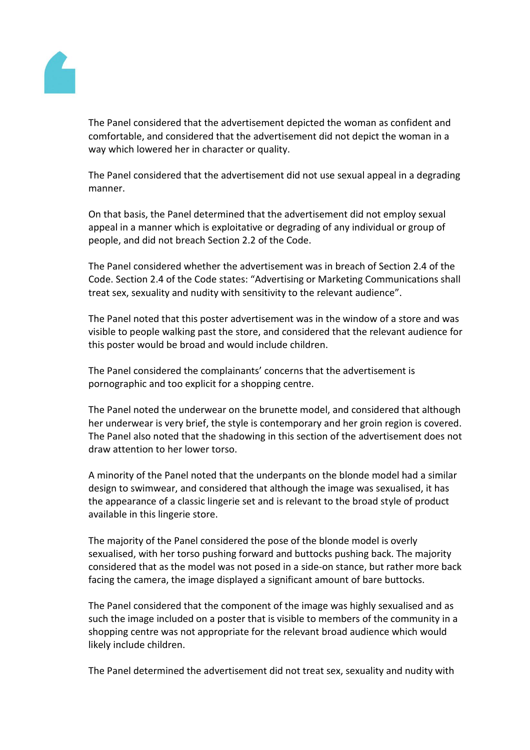

The Panel considered that the advertisement depicted the woman as confident and comfortable, and considered that the advertisement did not depict the woman in a way which lowered her in character or quality.

The Panel considered that the advertisement did not use sexual appeal in a degrading manner.

On that basis, the Panel determined that the advertisement did not employ sexual appeal in a manner which is exploitative or degrading of any individual or group of people, and did not breach Section 2.2 of the Code.

The Panel considered whether the advertisement was in breach of Section 2.4 of the Code. Section 2.4 of the Code states: "Advertising or Marketing Communications shall treat sex, sexuality and nudity with sensitivity to the relevant audience".

The Panel noted that this poster advertisement was in the window of a store and was visible to people walking past the store, and considered that the relevant audience for this poster would be broad and would include children.

The Panel considered the complainants' concerns that the advertisement is pornographic and too explicit for a shopping centre.

The Panel noted the underwear on the brunette model, and considered that although her underwear is very brief, the style is contemporary and her groin region is covered. The Panel also noted that the shadowing in this section of the advertisement does not draw attention to her lower torso.

A minority of the Panel noted that the underpants on the blonde model had a similar design to swimwear, and considered that although the image was sexualised, it has the appearance of a classic lingerie set and is relevant to the broad style of product available in this lingerie store.

The majority of the Panel considered the pose of the blonde model is overly sexualised, with her torso pushing forward and buttocks pushing back. The majority considered that as the model was not posed in a side-on stance, but rather more back facing the camera, the image displayed a significant amount of bare buttocks.

The Panel considered that the component of the image was highly sexualised and as such the image included on a poster that is visible to members of the community in a shopping centre was not appropriate for the relevant broad audience which would likely include children.

The Panel determined the advertisement did not treat sex, sexuality and nudity with